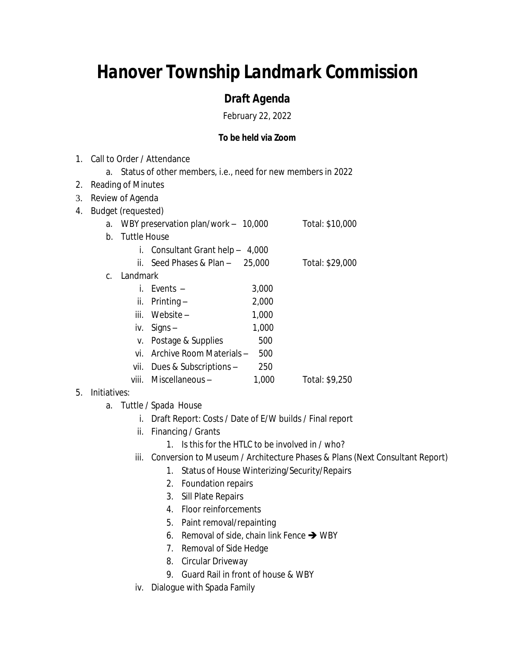## *Hanover Township Landmark Commission*

## *Draft Agenda*

February 22, 2022

## **To be held via Zoom**

- 1. Call to Order / Attendance a. Status of other members, i.e., need for new members in 2022 2. Reading of Minutes 3. Review of Agenda 4. Budget (requested) a. WBY preservation plan/work – 10,000 Total: \$10,000 b. Tuttle House i. Consultant Grant help – 4,000 ii. Seed Phases & Plan – 25,000 Total: \$29,000 c. Landmark i. Events – 3,000 ii.  $Printing -$  2,000 iii. Website  $-$  1,000 iv.  $Signs -$  1,000 v. Postage & Supplies 500 vi. Archive Room Materials – 500 vii. Dues & Subscriptions – 250 viii. Miscellaneous – 1,000 Total: \$9,250
- 5. Initiatives:
	- a. Tuttle / Spada House
		- i. Draft Report: Costs / Date of E/W builds / Final report
		- ii. Financing / Grants
			- 1. Is this for the HTLC to be involved in / who?
		- iii. Conversion to Museum / Architecture Phases & Plans (Next Consultant Report)
			- 1. Status of House Winterizing/Security/Repairs
			- 2. Foundation repairs
			- 3. Sill Plate Repairs
			- 4. Floor reinforcements
			- 5. Paint removal/repainting
			- 6. Removal of side, chain link Fence  $\rightarrow$  WBY
			- 7. Removal of Side Hedge
			- 8. Circular Driveway
			- 9. Guard Rail in front of house & WBY
		- iv. Dialogue with Spada Family